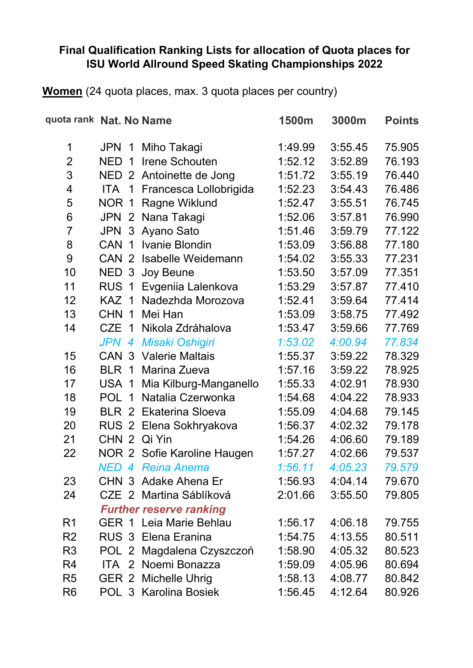## **Final Qualification Ranking Lists for allocation of Quota places for ISU World Allround Speed Skating Championships 2022**

**Women** (24 quota places, max. 3 quota places per country)

| quota rank Nat. No Name |                              |                                | 1500m   | 3000m   | <b>Points</b> |
|-------------------------|------------------------------|--------------------------------|---------|---------|---------------|
| 1                       | <b>JPN</b><br>$\overline{1}$ | Miho Takagi                    | 1:49.99 | 3:55.45 | 75.905        |
| $\overline{2}$          | <b>NED</b><br>$\overline{1}$ | Irene Schouten                 | 1:52.12 | 3:52.89 | 76.193        |
| 3                       | NED <sub>2</sub>             | Antoinette de Jong             | 1:51.72 | 3:55.19 | 76.440        |
| 4                       | ITA <sub>1</sub>             | Francesca Lollobrigida         | 1:52.23 | 3:54.43 | 76.486        |
| 5                       | NOR 1                        | Ragne Wiklund                  | 1:52.47 | 3:55.51 | 76.745        |
| 6                       | <b>JPN</b><br>2              | Nana Takagi                    | 1:52.06 | 3:57.81 | 76.990        |
| $\overline{7}$          | <b>JPN</b>                   | 3 Ayano Sato                   | 1:51.46 | 3:59.79 | 77.122        |
| 8                       | CAN 1                        | Ivanie Blondin                 | 1:53.09 | 3:56.88 | 77.180        |
| 9                       | CAN <sub>2</sub>             | <b>Isabelle Weidemann</b>      | 1:54.02 | 3:55.33 | 77.231        |
| 10                      |                              | NED 3 Joy Beune                | 1:53.50 | 3:57.09 | 77.351        |
| 11                      | RUS <sub>1</sub>             | Evgeniia Lalenkova             | 1:53.29 | 3:57.87 | 77.410        |
| 12                      | KAZ 1                        | Nadezhda Morozova              | 1:52.41 | 3:59.64 | 77.414        |
| 13                      | CHN 1                        | Mei Han                        | 1:53.09 | 3:58.75 | 77.492        |
| 14                      | CZE 1                        | Nikola Zdráhalova              | 1:53.47 | 3:59.66 | 77.769        |
|                         | JPN 4                        | <b>Misaki Oshigiri</b>         | 1:53.02 | 4:00.94 | 77.834        |
| 15                      |                              | <b>CAN 3 Valerie Maltais</b>   | 1:55.37 | 3:59.22 | 78.329        |
| 16                      | BLR 1                        | Marina Zueva                   | 1:57.16 | 3:59.22 | 78.925        |
| 17                      | USA 1                        | Mia Kilburg-Manganello         | 1:55.33 | 4:02.91 | 78.930        |
| 18                      | POL 1                        | Natalia Czerwonka              | 1:54.68 | 4:04.22 | 78.933        |
| 19                      |                              | <b>BLR 2 Ekaterina Sloeva</b>  | 1:55.09 | 4:04.68 | 79.145        |
| 20                      |                              | RUS 2 Elena Sokhryakova        | 1:56.37 | 4:02.32 | 79.178        |
| 21                      | CHN 2 Qi Yin                 |                                | 1:54.26 | 4:06.60 | 79.189        |
| 22                      |                              | NOR 2 Sofie Karoline Haugen    | 1:57.27 | 4:02.66 | 79.537        |
|                         |                              | NED 4 Reina Anema              | 1:56.11 | 4:05.23 | 79.579        |
| 23                      |                              | CHN 3 Adake Ahena Er           | 1:56.93 | 4:04.14 | 79.670        |
| 24                      |                              | CZE 2 Martina Sáblíková        | 2:01.66 | 3:55.50 | 79.805        |
|                         |                              | <b>Further reserve ranking</b> |         |         |               |
| R <sub>1</sub>          |                              | <b>GER 1 Leia Marie Behlau</b> | 1:56.17 | 4:06.18 | 79.755        |
| R <sub>2</sub>          |                              | RUS 3 Elena Eranina            | 1:54.75 | 4:13.55 | 80.511        |
| R <sub>3</sub>          |                              | POL 2 Magdalena Czyszczoń      | 1:58.90 | 4:05.32 | 80.523        |
| R4                      |                              | ITA 2 Noemi Bonazza            | 1:59.09 | 4:05.96 | 80.694        |
| R <sub>5</sub>          |                              | GER 2 Michelle Uhrig           | 1:58.13 | 4:08.77 | 80.842        |
| R <sub>6</sub>          |                              | POL 3 Karolina Bosiek          | 1:56.45 | 4:12.64 | 80.926        |